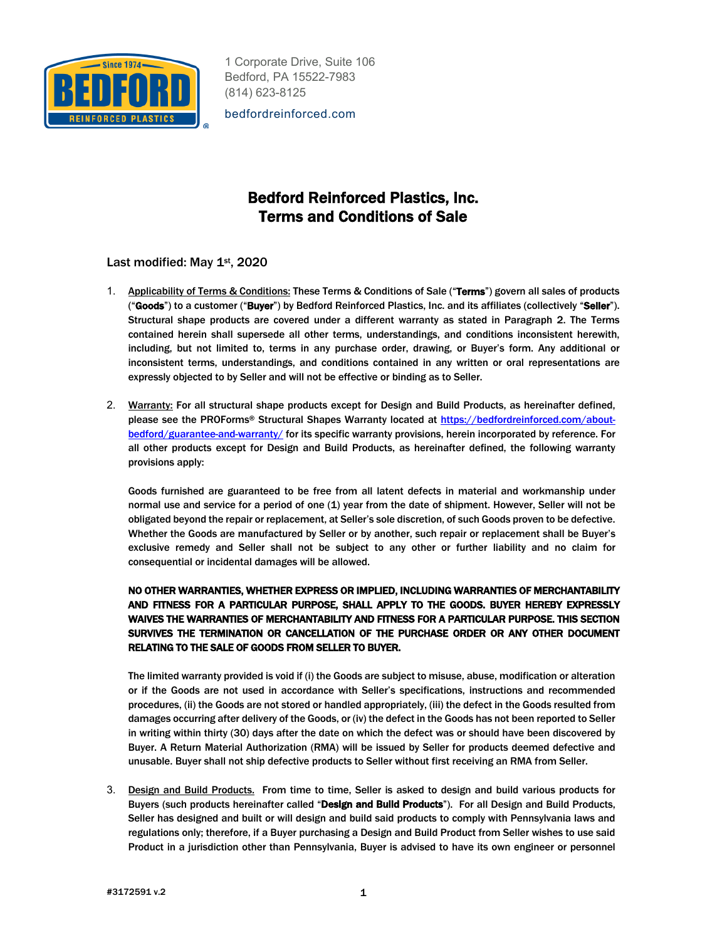

bedfordreinforced.com

## Bedford Reinforced Plastics, Inc. Terms and Conditions of Sale

Last modified: May 1st, 2020

- 1. Applicability of Terms & Conditions: These Terms & Conditions of Sale ("Terms") govern all sales of products ("Goods") to a customer ("Buyer") by Bedford Reinforced Plastics, Inc. and its affiliates (collectively "Seller"). Structural shape products are covered under a different warranty as stated in Paragraph 2. The Terms contained herein shall supersede all other terms, understandings, and conditions inconsistent herewith, including, but not limited to, terms in any purchase order, drawing, or Buyer's form. Any additional or inconsistent terms, understandings, and conditions contained in any written or oral representations are expressly objected to by Seller and will not be effective or binding as to Seller.
- 2. Warranty: For all structural shape products except for Design and Build Products, as hereinafter defined, please see the PROForms® Structural Shapes Warranty located at https://bedfordreinforced.com/aboutbedford/guarantee-and-warranty/ for its specific warranty provisions, herein incorporated by reference. For all other products except for Design and Build Products, as hereinafter defined, the following warranty provisions apply:

Goods furnished are guaranteed to be free from all latent defects in material and workmanship under normal use and service for a period of one (1) year from the date of shipment. However, Seller will not be obligated beyond the repair or replacement, at Seller's sole discretion, of such Goods proven to be defective. Whether the Goods are manufactured by Seller or by another, such repair or replacement shall be Buyer's exclusive remedy and Seller shall not be subject to any other or further liability and no claim for consequential or incidental damages will be allowed.

## NO OTHER WARRANTIES, WHETHER EXPRESS OR IMPLIED, INCLUDING WARRANTIES OF MERCHANTABILITY AND FITNESS FOR A PARTICULAR PURPOSE, SHALL APPLY TO THE GOODS. BUYER HEREBY EXPRESSLY WAIVES THE WARRANTIES OF MERCHANTABILITY AND FITNESS FOR A PARTICULAR PURPOSE. THIS SECTION SURVIVES THE TERMINATION OR CANCELLATION OF THE PURCHASE ORDER OR ANY OTHER DOCUMENT RELATING TO THE SALE OF GOODS FROM SELLER TO BUYER.

The limited warranty provided is void if (i) the Goods are subject to misuse, abuse, modification or alteration or if the Goods are not used in accordance with Seller's specifications, instructions and recommended procedures, (ii) the Goods are not stored or handled appropriately, (iii) the defect in the Goods resulted from damages occurring after delivery of the Goods, or (iv) the defect in the Goods has not been reported to Seller in writing within thirty (30) days after the date on which the defect was or should have been discovered by Buyer. A Return Material Authorization (RMA) will be issued by Seller for products deemed defective and unusable. Buyer shall not ship defective products to Seller without first receiving an RMA from Seller.

3. Design and Build Products. From time to time, Seller is asked to design and build various products for Buyers (such products hereinafter called "Design and Build Products"). For all Design and Build Products, Seller has designed and built or will design and build said products to comply with Pennsylvania laws and regulations only; therefore, if a Buyer purchasing a Design and Build Product from Seller wishes to use said Product in a jurisdiction other than Pennsylvania, Buyer is advised to have its own engineer or personnel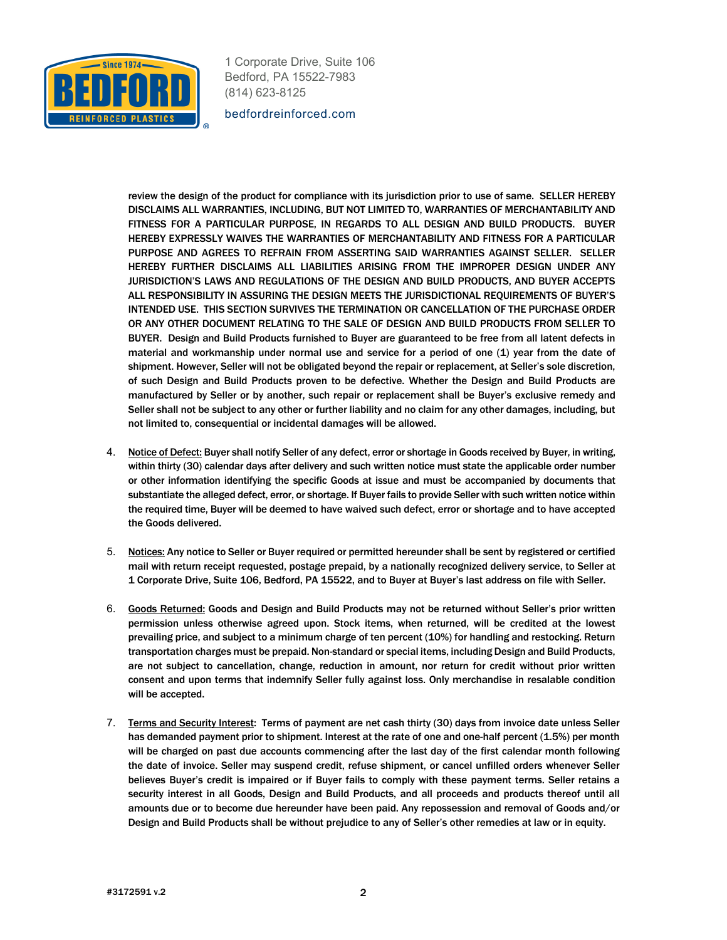

bedfordreinforced.com

review the design of the product for compliance with its jurisdiction prior to use of same. SELLER HEREBY DISCLAIMS ALL WARRANTIES, INCLUDING, BUT NOT LIMITED TO, WARRANTIES OF MERCHANTABILITY AND FITNESS FOR A PARTICULAR PURPOSE, IN REGARDS TO ALL DESIGN AND BUILD PRODUCTS. BUYER HEREBY EXPRESSLY WAIVES THE WARRANTIES OF MERCHANTABILITY AND FITNESS FOR A PARTICULAR PURPOSE AND AGREES TO REFRAIN FROM ASSERTING SAID WARRANTIES AGAINST SELLER. SELLER HEREBY FURTHER DISCLAIMS ALL LIABILITIES ARISING FROM THE IMPROPER DESIGN UNDER ANY JURISDICTION'S LAWS AND REGULATIONS OF THE DESIGN AND BUILD PRODUCTS, AND BUYER ACCEPTS ALL RESPONSIBILITY IN ASSURING THE DESIGN MEETS THE JURISDICTIONAL REQUIREMENTS OF BUYER'S INTENDED USE. THIS SECTION SURVIVES THE TERMINATION OR CANCELLATION OF THE PURCHASE ORDER OR ANY OTHER DOCUMENT RELATING TO THE SALE OF DESIGN AND BUILD PRODUCTS FROM SELLER TO BUYER. Design and Build Products furnished to Buyer are guaranteed to be free from all latent defects in material and workmanship under normal use and service for a period of one (1) year from the date of shipment. However, Seller will not be obligated beyond the repair or replacement, at Seller's sole discretion, of such Design and Build Products proven to be defective. Whether the Design and Build Products are manufactured by Seller or by another, such repair or replacement shall be Buyer's exclusive remedy and Seller shall not be subject to any other or further liability and no claim for any other damages, including, but not limited to, consequential or incidental damages will be allowed.

- 4. Notice of Defect: Buyer shall notify Seller of any defect, error or shortage in Goods received by Buyer, in writing, within thirty (30) calendar days after delivery and such written notice must state the applicable order number or other information identifying the specific Goods at issue and must be accompanied by documents that substantiate the alleged defect, error, or shortage. If Buyer fails to provide Seller with such written notice within the required time, Buyer will be deemed to have waived such defect, error or shortage and to have accepted the Goods delivered.
- 5. Notices: Any notice to Seller or Buyer required or permitted hereunder shall be sent by registered or certified mail with return receipt requested, postage prepaid, by a nationally recognized delivery service, to Seller at 1 Corporate Drive, Suite 106, Bedford, PA 15522, and to Buyer at Buyer's last address on file with Seller.
- 6. Goods Returned: Goods and Design and Build Products may not be returned without Seller's prior written permission unless otherwise agreed upon. Stock items, when returned, will be credited at the lowest prevailing price, and subject to a minimum charge of ten percent (10%) for handling and restocking. Return transportation charges must be prepaid. Non-standard or special items, including Design and Build Products, are not subject to cancellation, change, reduction in amount, nor return for credit without prior written consent and upon terms that indemnify Seller fully against loss. Only merchandise in resalable condition will be accepted.
- 7. Terms and Security Interest: Terms of payment are net cash thirty (30) days from invoice date unless Seller has demanded payment prior to shipment. Interest at the rate of one and one-half percent (1.5%) per month will be charged on past due accounts commencing after the last day of the first calendar month following the date of invoice. Seller may suspend credit, refuse shipment, or cancel unfilled orders whenever Seller believes Buyer's credit is impaired or if Buyer fails to comply with these payment terms. Seller retains a security interest in all Goods, Design and Build Products, and all proceeds and products thereof until all amounts due or to become due hereunder have been paid. Any repossession and removal of Goods and/or Design and Build Products shall be without prejudice to any of Seller's other remedies at law or in equity.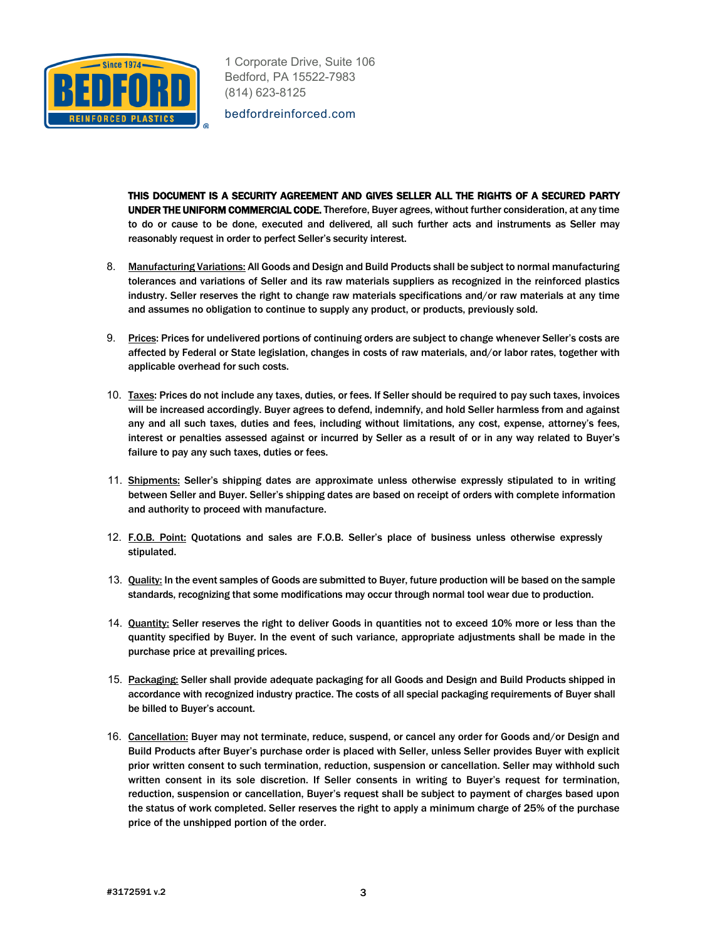

bedfordreinforced.com

THIS DOCUMENT IS A SECURITY AGREEMENT AND GIVES SELLER ALL THE RIGHTS OF A SECURED PARTY UNDER THE UNIFORM COMMERCIAL CODE. Therefore, Buyer agrees, without further consideration, at any time to do or cause to be done, executed and delivered, all such further acts and instruments as Seller may reasonably request in order to perfect Seller's security interest.

- 8. Manufacturing Variations: All Goods and Design and Build Products shall be subject to normal manufacturing tolerances and variations of Seller and its raw materials suppliers as recognized in the reinforced plastics industry. Seller reserves the right to change raw materials specifications and/or raw materials at any time and assumes no obligation to continue to supply any product, or products, previously sold.
- 9. Prices: Prices for undelivered portions of continuing orders are subject to change whenever Seller's costs are affected by Federal or State legislation, changes in costs of raw materials, and/or labor rates, together with applicable overhead for such costs.
- 10. Taxes: Prices do not include any taxes, duties, or fees. If Seller should be required to pay such taxes, invoices will be increased accordingly. Buyer agrees to defend, indemnify, and hold Seller harmless from and against any and all such taxes, duties and fees, including without limitations, any cost, expense, attorney's fees, interest or penalties assessed against or incurred by Seller as a result of or in any way related to Buyer's failure to pay any such taxes, duties or fees.
- 11. Shipments: Seller's shipping dates are approximate unless otherwise expressly stipulated to in writing between Seller and Buyer. Seller's shipping dates are based on receipt of orders with complete information and authority to proceed with manufacture.
- 12. F.O.B. Point: Quotations and sales are F.O.B. Seller's place of business unless otherwise expressly stipulated.
- 13. Quality: In the event samples of Goods are submitted to Buyer, future production will be based on the sample standards, recognizing that some modifications may occur through normal tool wear due to production.
- 14. Quantity: Seller reserves the right to deliver Goods in quantities not to exceed 10% more or less than the quantity specified by Buyer. In the event of such variance, appropriate adjustments shall be made in the purchase price at prevailing prices.
- 15. Packaging: Seller shall provide adequate packaging for all Goods and Design and Build Products shipped in accordance with recognized industry practice. The costs of all special packaging requirements of Buyer shall be billed to Buyer's account.
- 16. Cancellation: Buyer may not terminate, reduce, suspend, or cancel any order for Goods and/or Design and Build Products after Buyer's purchase order is placed with Seller, unless Seller provides Buyer with explicit prior written consent to such termination, reduction, suspension or cancellation. Seller may withhold such written consent in its sole discretion. If Seller consents in writing to Buyer's request for termination, reduction, suspension or cancellation, Buyer's request shall be subject to payment of charges based upon the status of work completed. Seller reserves the right to apply a minimum charge of 25% of the purchase price of the unshipped portion of the order.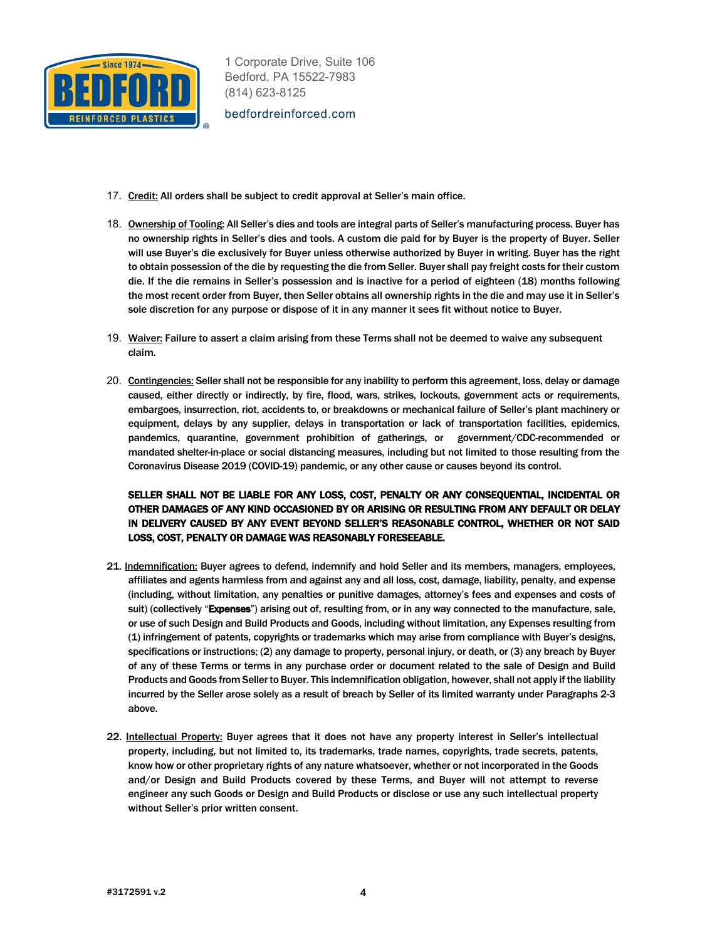

bedfordreinforced.com

- 17. Credit: All orders shall be subject to credit approval at Seller's main office.
- 18. Ownership of Tooling: All Seller's dies and tools are integral parts of Seller's manufacturing process. Buyer has no ownership rights in Seller's dies and tools. A custom die paid for by Buyer is the property of Buyer. Seller will use Buyer's die exclusively for Buyer unless otherwise authorized by Buyer in writing. Buyer has the right to obtain possession of the die by requesting the die from Seller. Buyer shall pay freight costs for their custom die. If the die remains in Seller's possession and is inactive for a period of eighteen (18) months following the most recent order from Buyer, then Seller obtains all ownership rights in the die and may use it in Seller's sole discretion for any purpose or dispose of it in any manner it sees fit without notice to Buyer.
- 19. Waiver: Failure to assert a claim arising from these Terms shall not be deemed to waive any subsequent claim.
- 20. Contingencies: Seller shall not be responsible for any inability to perform this agreement, loss, delay or damage caused, either directly or indirectly, by fire, flood, wars, strikes, lockouts, government acts or requirements, embargoes, insurrection, riot, accidents to, or breakdowns or mechanical failure of Seller's plant machinery or equipment, delays by any supplier, delays in transportation or lack of transportation facilities, epidemics, pandemics, quarantine, government prohibition of gatherings, or government/CDC-recommended or mandated shelter-in-place or social distancing measures, including but not limited to those resulting from the Coronavirus Disease 2019 (COVID-19) pandemic, or any other cause or causes beyond its control.

## SELLER SHALL NOT BE LIABLE FOR ANY LOSS, COST, PENALTY OR ANY CONSEQUENTIAL, INCIDENTAL OR OTHER DAMAGES OF ANY KIND OCCASIONED BY OR ARISING OR RESULTING FROM ANY DEFAULT OR DELAY IN DELIVERY CAUSED BY ANY EVENT BEYOND SELLER'S REASONABLE CONTROL, WHETHER OR NOT SAID LOSS, COST, PENALTY OR DAMAGE WAS REASONABLY FORESEEABLE.

- 21. Indemnification: Buyer agrees to defend, indemnify and hold Seller and its members, managers, employees, affiliates and agents harmless from and against any and all loss, cost, damage, liability, penalty, and expense (including, without limitation, any penalties or punitive damages, attorney's fees and expenses and costs of suit) (collectively "Expenses") arising out of, resulting from, or in any way connected to the manufacture, sale, or use of such Design and Build Products and Goods, including without limitation, any Expenses resulting from (1) infringement of patents, copyrights or trademarks which may arise from compliance with Buyer's designs, specifications or instructions; (2) any damage to property, personal injury, or death, or (3) any breach by Buyer of any of these Terms or terms in any purchase order or document related to the sale of Design and Build Products and Goods from Seller to Buyer. This indemnification obligation, however, shall not apply if the liability incurred by the Seller arose solely as a result of breach by Seller of its limited warranty under Paragraphs 2-3 above.
- 22. Intellectual Property: Buyer agrees that it does not have any property interest in Seller's intellectual property, including, but not limited to, its trademarks, trade names, copyrights, trade secrets, patents, know how or other proprietary rights of any nature whatsoever, whether or not incorporated in the Goods and/or Design and Build Products covered by these Terms, and Buyer will not attempt to reverse engineer any such Goods or Design and Build Products or disclose or use any such intellectual property without Seller's prior written consent.